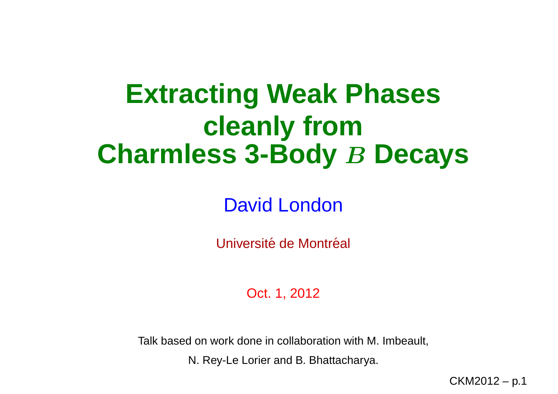# **Extracting Weak Phasescleanly fromCharmless 3-Body B Decays**

David London

Université de Montréal

Oct. 1, 2012

Talk based on work done in collaboration with M. Imbeault,

N. Rey-Le Lorier and B. Bhattacharya.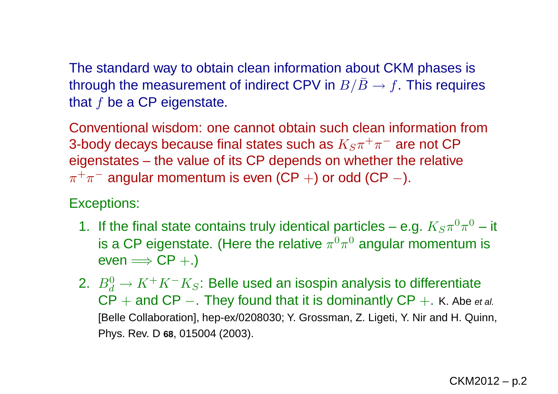The standard way to obtain clean information about CKM phases isthrough the measurement of indirect CPV in  $B/\bar B\to f.$  This requires that  $f$  be a CP eigenstate.

Conventional wisdom: one cannot obtain such clean information from3-body decays because final states such as  $K_S\pi^+\pi^-$  are not CP eigenstates – the value of its CP depends on whether the relative $\pi^+\pi^-$  angular momentum is even (CP  $+)$  or odd (CP  $-$ ).

#### Exceptions:

- 1. If the final state contains truly identical particles e.g.  $K_S\pi^0$ is a CP eigenstate. (Here the relative  $\pi^0\pi^0$  angular momentu  $^{0}\pi^{0} -$  it  $^{0}\pi^{0}$  angular momentum is  $\mathsf{even} \Longrightarrow \mathsf{CP}+.)$
- 2.  $B^0_J$  $\mathsf{CP}$  + and  $\mathsf{CP}$  -. They found that it is dominantly  $\mathsf{CP}$  +. K. Abe  $\frac{0}{d}\rightarrow K^+$  $+K^ \overline{\phantom{x}}$   $K_S$ : Belle used an isospin analysis to differentiate [Belle Collaboration], hep-ex/0208030; Y. Grossman, Z. Ligeti, Y. Nir and H. Quinn, −. They found that it is dominantly  $\mathsf{CP}+\mathsf{.}$  K. Abe et al. Phys. Rev. D **<sup>68</sup>**, <sup>015004</sup> (2003).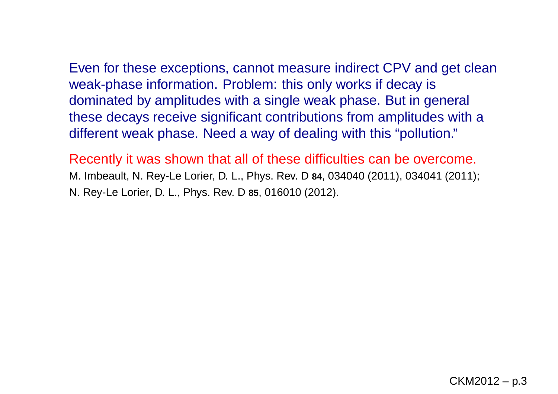Even for these exceptions, cannot measure indirect CPV and get cleanweak-phase information. Problem: this only works if decay i s dominated by amplitudes with <sup>a</sup> single weak phase. But in general these decays receive significant contributions from amplitudes with <sup>a</sup>different weak phase. Need <sup>a</sup> way of dealing with this "pollution."

Recently it was shown that all of these difficulties can be overcome. M. Imbeault, N. Rey-Le Lorier, D. L., Phys. Rev. D **<sup>84</sup>**, <sup>034040</sup> (2011), <sup>034041</sup> (2011); N. Rey-Le Lorier, D. L., Phys. Rev. D **<sup>85</sup>**, <sup>016010</sup> (2012).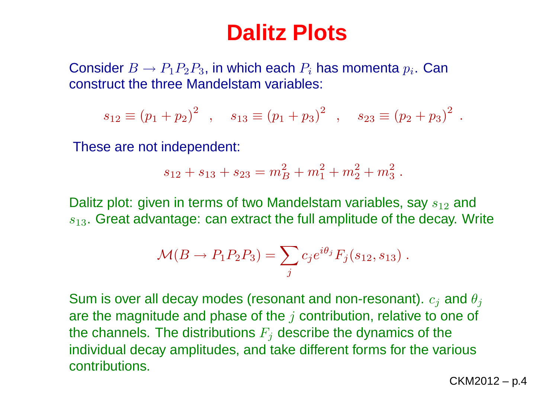## **Dalitz Plots**

Consider  $B \to P_1P_2P_3$ , in which each  $P_i$  has momenta  $p_i$ . Can<br>construct the three Mandelstam variables: construct the three Mandelstam variables:

$$
s_{12} \equiv (p_1 + p_2)^2
$$
,  $s_{13} \equiv (p_1 + p_3)^2$ ,  $s_{23} \equiv (p_2 + p_3)^2$ .

These are not independent:

$$
s_{12} + s_{13} + s_{23} = m_B^2 + m_1^2 + m_2^2 + m_3^2.
$$

Dalitz plot: given in terms of two Mandelstam variables, say  $s_{12}$  and  $s_{13}.$  Great advantage: can extract the full amplitude of the decay. Write

$$
\mathcal{M}(B \to P_1 P_2 P_3) = \sum_j c_j e^{i\theta_j} F_j(s_{12}, s_{13}).
$$

Sum is over all decay modes (resonant and non-resonant).  $c_j$  and  $\theta_j$ are the magnitude and phase of the  $j$  contribution, relative to one of the channels. The distributions  $F_j$  describe the dynamics of the individual decay amplitudes, and take different forms for the variouscontributions.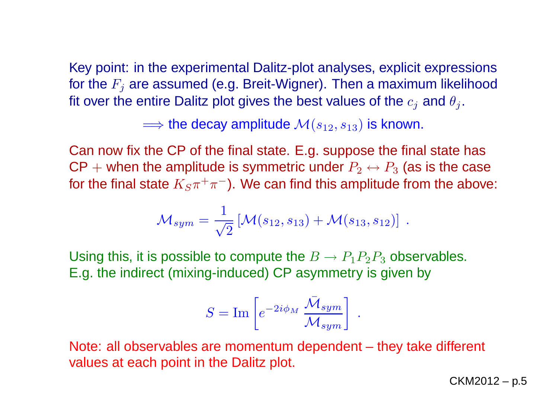Key point: in the experimental Dalitz-plot analyses, explicit expressionsfor the  $F_j$  are assumed (e.g. Breit-Wigner). Then a maximum likelihood fit over the entire Dalitz plot gives the best values of the  $c_j$  and  $\theta_j$ .

 $\Longrightarrow$  the decay amplitude  $\mathcal{M}(s_{12},s_{13})$  is known.

 Can now fix the CP of the final state. E.g. suppose the final state has  $\mathsf{CP} +$  when the amplitude is symmetric under  $P_2 \leftrightarrow P_3$  (as is the case<br>facths fixed state  $K_1 + \dots + K_n$  $\mathcal{C}$  and  $\mathcal{C}$  and  $\mathcal{C}$  and  $\mathcal{C}$  and  $\mathcal{C}$  and  $\mathcal{C}$  and  $\mathcal{C}$ for the final state  $K_S\pi^+\pi^-$ ). We can find this amplitude from the above:

$$
\mathcal{M}_{sym} = \frac{1}{\sqrt{2}} \left[ \mathcal{M}(s_{12}, s_{13}) + \mathcal{M}(s_{13}, s_{12}) \right] .
$$

Using this, it is possible to compute the  $B\to P_1P_2P_3$  observables. asvm E.g. the indirect (mixing-induced) CP asymmetry is given by

$$
S = \mathrm{Im} \left[ e^{-2i\phi_M} \frac{\bar{\mathcal{M}}_{sym}}{\mathcal{M}_{sym}} \right] .
$$

Note: all observables are momentum dependent – they take different values at each point in the Dalitz plot.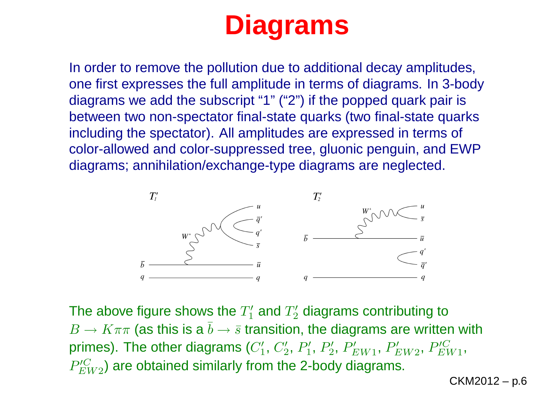# **Diagrams**

In order to remove the pollution due to additional decay amplitudes, one first expresses the full amplitude in terms of diagrams. In 3-bodydiagrams we add the subscript "1" ("2") if the popped quark pair is between two non-spectator final-state quarks (two final-state quarksincluding the spectator). All amplitudes are expressed in terms of color-allowed and color-suppressed tree, gluonic penguin, and EWPdiagrams; annihilation/exchange-type diagrams are neglected.



The above figure shows the  $T_1^\prime$  and  $T_2^\prime$  diagrams contributing to  $B \to K \pi \pi$  (as this is a  $\bar{b} \to \bar{s}$  transition, the diagrams are written with  $B' \to K \pi \pi$  (as this is a  $\bar{b} \to \bar{s}$  transition, the diagrams are written with primes). The other diagrams  $(C'_1, C'_2, P'_1, P'_2, P'_{EW1}, P'_{EW2}, P'^C_{EW1},$  $P_{EW2}^{\prime C}$ ) are obtained similarly from the 2-body diagrams.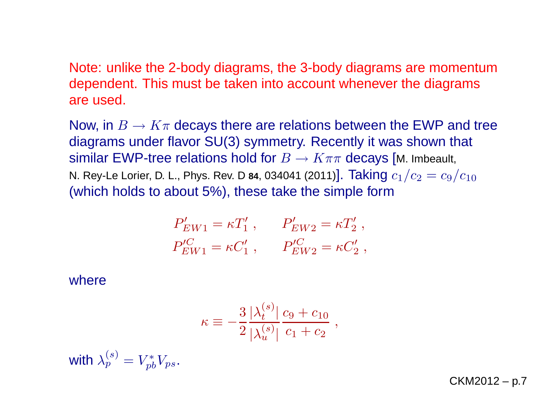Note: unlike the 2-body diagrams, the 3-body diagrams are momentumdependent. This must be taken into account whenever the diagramsare used.

Now, in  $B\to K\pi$  decays there are relations between the EWP and tree<br>diagrams under flavor SH(3) symmetry. Recently it was shown that diagrams under flavor SU(3) symmetry. Recently it was shown that similar EWP-tree relations hold for  $B\to K\pi\pi$  decays [M. Imbeault,<br>N. Rev-Le Lorier D. L. Phys. Rev. D.84, 034041 (2011)]. Taking  $c_4$  /  $c_2=c_2$ N. Rey-Le Lorier, D. L., Phys. Rev. D 84, 034041 (2011)].  $\textsf{Taking}\ c_1/c_2=c_9/c_{10}$ (which holds to about 5%), these take the simple form

$$
P'_{EW1} = \kappa T'_1, \qquad P'_{EW2} = \kappa T'_2, P'^C_{EW1} = \kappa C'_1, \qquad P'^C_{EW2} = \kappa C'_2,
$$

where

$$
\kappa \equiv -\frac{3}{2} \frac{|\lambda_t^{(s)}|}{|\lambda_u^{(s)}|} \frac{c_9 + c_{10}}{c_1 + c_2} ,
$$

with  $\lambda^{(s)}_p = V_{pl}^*$  $_{pb}^{r\ast}V_{ps}.$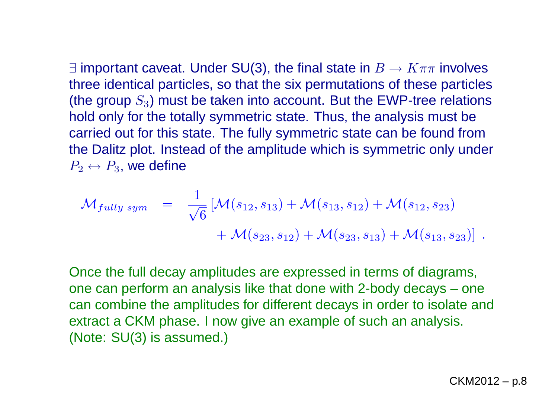∃ important caveat. Under SU(3), the final state in  $B\to K\pi\pi$  involves<br>three identical particles, so that the six permutations of these particle three identical particles, so that the six permutations of these particles(the group  $S_3$ ) must be taken into account. But the EWP-tree relations hold only for the totally symmetric state. Thus, the analysis must be carried out for this state. The fully symmetric state can be found from the Dalitz plot. Instead of the amplitude which is symmetric only under  $P_2\leftrightarrow P_3$ , we define

$$
\mathcal{M}_{fully\ sym} = \frac{1}{\sqrt{6}} [\mathcal{M}(s_{12}, s_{13}) + \mathcal{M}(s_{13}, s_{12}) + \mathcal{M}(s_{12}, s_{23}) \n+ \mathcal{M}(s_{23}, s_{12}) + \mathcal{M}(s_{23}, s_{13}) + \mathcal{M}(s_{13}, s_{23})].
$$

Once the full decay amplitudes are expressed in terms of diagrams, one can perform an analysis like that done with 2-body decays – one can combine the amplitudes for different decays in order to isolate andextract <sup>a</sup> CKM phase. I now give an example of such an analysis. (Note: SU(3) is assumed.)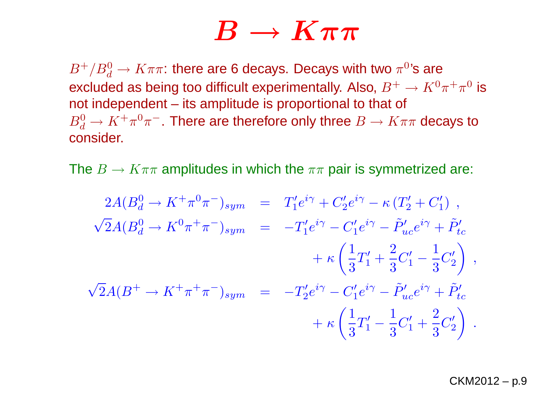### $\boldsymbol{B}$  $\overrightarrow{B} \rightarrow$  $\longrightarrow K\pi\pi$ <br>lecavs. Decavs wit

 $B^+/B^0_d$  $\frac{0}{d} \rightarrow K \pi \pi$ : there are 6 decays. Decays with two  $\pi^0$ 's are<br>lod as being too difficult experimentally. Also,  $P^+ \rightarrow K^0$ excluded as being too difficult experimentally. Also,  $B^+ \to K^0 \pi^+ \pi^0$  is<br>not independent – its amplitude is proportional to that of not independent – its amplitude is proportional to that of  $B^0_d$  $\frac{0}{d}$  →  $K^+\pi^0\pi^-$ . There are therefore only three  $B\to K\pi\pi$  decays to<br>posider consider.

The  $B\to K\pi\pi$  amplitudes in which the  $\pi\pi$  pair is symmetrized are:

$$
2A(B_d^0 \to K^+\pi^0\pi^-)_{sym} = T'_1 e^{i\gamma} + C'_2 e^{i\gamma} - \kappa (T'_2 + C'_1) ,
$$
  

$$
\sqrt{2}A(B_d^0 \to K^0\pi^+\pi^-)_{sym} = -T'_1 e^{i\gamma} - C'_1 e^{i\gamma} - \tilde{P}'_{uc} e^{i\gamma} + \tilde{P}'_{tc} + \kappa \left(\frac{1}{3}T'_1 + \frac{2}{3}C'_1 - \frac{1}{3}C'_2\right) ,
$$
  

$$
\sqrt{2}A(B^+ \to K^+\pi^+\pi^-)_{sym} = -T'_2 e^{i\gamma} - C'_1 e^{i\gamma} - \tilde{P}'_{uc} e^{i\gamma} + \tilde{P}'_{tc} + \kappa \left(\frac{1}{3}T'_1 - \frac{1}{3}C'_1 + \frac{2}{3}C'_2\right) .
$$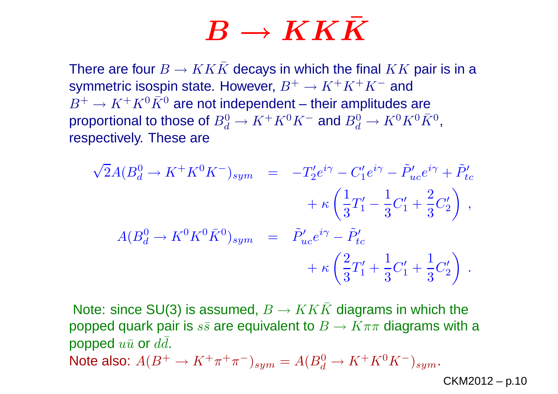# $\boldsymbol{B}$  $\mathbf{B} \rightarrow$

 $\mathbf{B}\to\boldsymbol{KK}\boldsymbol{\bar{K}}$ <br>There are four  $B\to KK\bar{K}$  decays in which the final  $KK$  pair is in a<br>symmetric isospin state. However,  $R^+\to K^+K^+K^-$  and symmetric isospin state. However,  $B^+ \to K^+K^+K^-$  and  $B^+ \to K^+K^0\bar K^0$  are not independent – their amplitudes  $B^+ \to$  $\bar{K} \to K^+ K^0 \bar{K}^0$  are not independent – their amplitudes are<br>portional to those of  $R^0 \to K^+ K^0 K^-$  and  $R^0 \to K^0 \bar{K}^0 \bar{K}^0$ proportional to those of  $B_d^0$  $\frac{0}{d} \rightarrow K^+K^0K^-$  and  $B^0_d \rightarrow K^0K^0\bar{K}^0$ , respectively. These are

$$
\sqrt{2}A(B_d^0 \to K^+ K^0 K^-)_{sym} = -T'_2 e^{i\gamma} - C'_1 e^{i\gamma} - \tilde{P}'_{uc} e^{i\gamma} + \tilde{P}'_{tc} \n+ \kappa \left(\frac{1}{3}T'_1 - \frac{1}{3}C'_1 + \frac{2}{3}C'_2\right) , \nA(B_d^0 \to K^0 K^0 \bar{K}^0)_{sym} = \tilde{P}'_{uc} e^{i\gamma} - \tilde{P}'_{tc} \n+ \kappa \left(\frac{2}{3}T'_1 + \frac{1}{3}C'_1 + \frac{1}{3}C'_2\right) .
$$

Note: since SU(3) is assumed,  $B\to KK\bar K$  diagrams in which the<br>popped quark pair is ss are equivalent to  $B\to K\pi\pi$  diagrams with popped quark pair is  $s\bar{s}$  are equivalent to  $B\to K\pi\pi$  diagrams with a<br>popped  $u\bar{u}$  or  $d\bar{d}$ popped  $u\bar u$  or  $d\bar d.$ Note also:  $A(B^+ \to K^+ \pi^+ \pi^-)_{sym} = A(B_d^0 \to K^+ K^0 K^-)_{sym}.$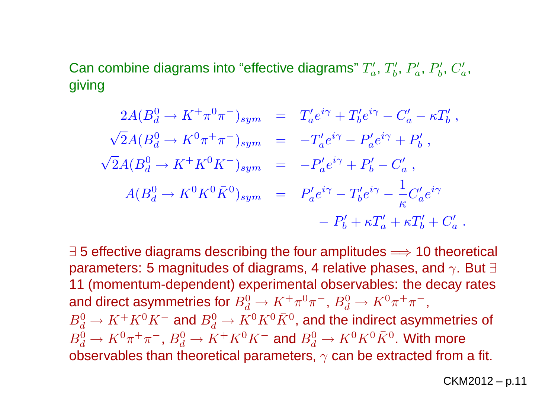Can combine diagrams into "effective diagrams"  $T_a^{\prime},\,T_b^{\prime},\,P_a^{\prime},\,P_b^{\prime},\,C_a^{\prime},$ giving

$$
2A(B_d^0 \to K^+\pi^0\pi^-)_{sym} = T'_a e^{i\gamma} + T'_b e^{i\gamma} - C'_a - \kappa T'_b,
$$
  

$$
\sqrt{2}A(B_d^0 \to K^0\pi^+\pi^-)_{sym} = -T'_a e^{i\gamma} - P'_a e^{i\gamma} + P'_b,
$$
  

$$
\sqrt{2}A(B_d^0 \to K^+K^0K^-)_{sym} = -P'_a e^{i\gamma} + P'_b - C'_a,
$$
  

$$
A(B_d^0 \to K^0K^0\bar{K}^0)_{sym} = P'_a e^{i\gamma} - T'_b e^{i\gamma} - \frac{1}{\kappa} C'_a e^{i\gamma}
$$
  

$$
- P'_b + \kappa T'_a + \kappa T'_b + C'_a.
$$

∃ 5 effective diagrams describing the four amplitudes ⇒ 10 theoretical<br>parameters: 5 magnitudes of diagrams. 4 relative phases, and  $\propto$  But ∃ parameters: 5 magnitudes of diagrams, 4 relative phases, and  $\gamma.$  But  $\exists$  <sup>11</sup> (momentum-dependent) experimental observables: the decay ratesand direct asymmetries for  $B_d^0$  $B^0 \to K^+ K^0 K^-$  and  $B^0 \to K^0 K^0 \bar{K}^0$  , and the indirect as  $\frac{0}{d}\rightarrow K^+\pi^0$  $^{\rm o}\pi^-$ ,  $B_d^0$  $\frac{0}{d}\rightarrow K^0$  $^0\pi^+\pi^-$ , $B^0 \to K^0 \pi^+ \pi^-$ ,  $B^0 \to K^+ K^0 K$  $\frac{0}{d} \rightarrow K^+K^0$  $^0K^-$  and  $B_d^0$  $\frac{0}{d}\rightarrow K^0$  $^{0}K^{0}$  $^0\bar{K}^0$ , and the indirect asymmetries of observables than theoretical parameters,  $\gamma$  can be extracted from a fit.  $\frac{0}{d}\rightarrow K^0$  $^0\pi^+\pi^-$ ,  $B_d^0$  $\frac{0}{d} \rightarrow K^+K^0$  $^0K^-$  and  $B_d^0$  $\frac{0}{d}\rightarrow K^0$  $^{0}K^{0}$  $^0\bar{K}^0.$  With more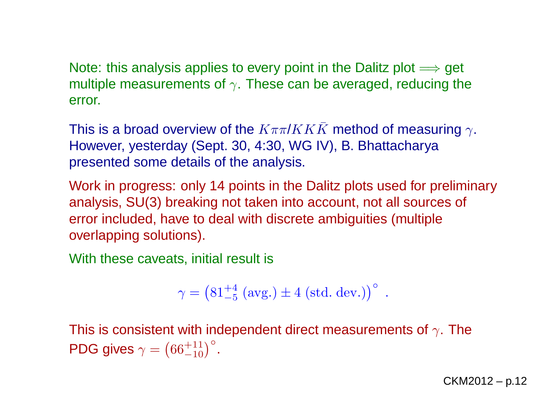Note: this analysis applies to every point in the Dalitz plot  $\Longrightarrow$  get<br>multiple measurements of  $\scriptstyle\sim$  . These can be averaged, reducing th multiple measurements of  $\gamma.$  These can be averaged, reducing the error.

This is a broad overview of the  $K\pi\pi/KK\bar K$  method of measuring  $\gamma.$  However, yesterday (Sept. 30, 4:30, WG IV), B. Bhattacharyapresented some details of the analysis.

Work in progress: only <sup>14</sup> points in the Dalitz plots used for preliminaryanalysis, SU(3) breaking not taken into account, not all sources of error included, have to deal with discrete ambiguities (multipleoverlapping solutions).

With these caveats, initial result is

$$
\gamma = (81^{+4}_{-5} \text{ (avg.)} \pm 4 \text{ (std. dev.)})^{\circ} .
$$

This is consistent with independent direct measurements of  $\gamma.$  The PDG gives  $\gamma=$  $\left(66^{+11}_{-10}\right)^\circ$ .